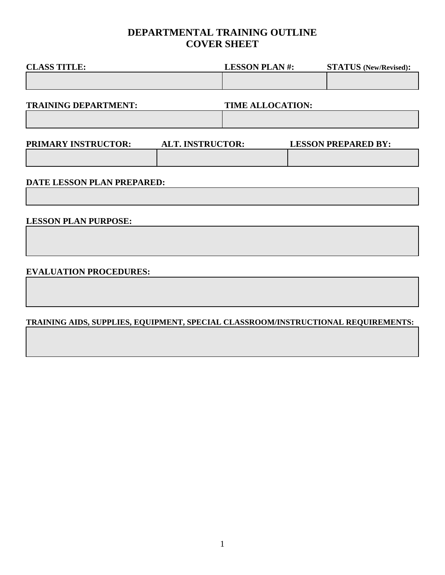## **DEPARTMENTAL TRAINING OUTLINE COVER SHEET**

| <b>CLASS TITLE:</b>         |                         | <b>LESSON PLAN#:</b>    | <b>STATUS</b> (New/Revised): |
|-----------------------------|-------------------------|-------------------------|------------------------------|
|                             |                         |                         |                              |
| <b>TRAINING DEPARTMENT:</b> |                         | <b>TIME ALLOCATION:</b> |                              |
|                             |                         |                         |                              |
| PRIMARY INSTRUCTOR:         | <b>ALT. INSTRUCTOR:</b> |                         | <b>LESSON PREPARED BY:</b>   |
|                             |                         |                         |                              |
|                             |                         |                         |                              |

#### **DATE LESSON PLAN PREPARED:**

### **LESSON PLAN PURPOSE:**

#### **EVALUATION PROCEDURES:**

#### **TRAINING AIDS, SUPPLIES, EQUIPMENT, SPECIAL CLASSROOM/INSTRUCTIONAL REQUIREMENTS:**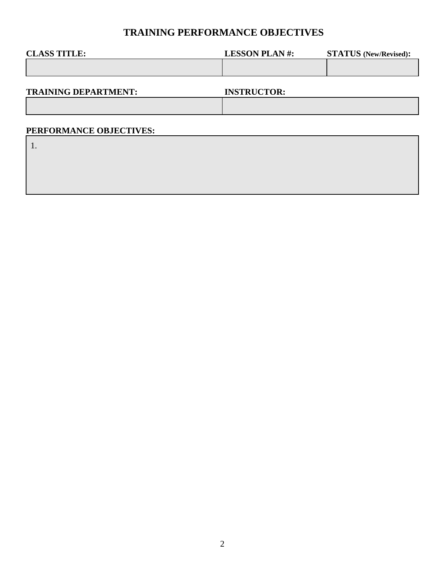## **TRAINING PERFORMANCE OBJECTIVES**

| <b>CLASS TITLE:</b> | <b>LESSON PLAN#:</b> | <b>STATUS</b> (New/Revised): |
|---------------------|----------------------|------------------------------|
|                     |                      |                              |
|                     |                      |                              |

**TRAINING DEPARTMENT: INSTRUCTOR:**

### **PERFORMANCE OBJECTIVES:**

1.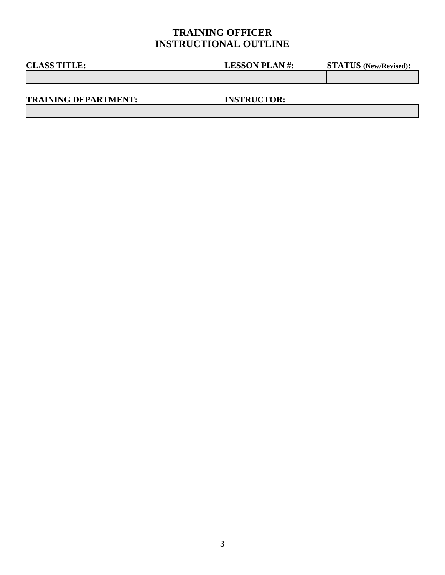# **TRAINING OFFICER INSTRUCTIONAL OUTLINE**

| <b>CLASS TITLE:</b>         | <b>LESSON PLAN#:</b> | <b>STATUS</b> (New/Revised): |
|-----------------------------|----------------------|------------------------------|
|                             |                      |                              |
|                             |                      |                              |
| <b>TRAINING DEPARTMENT:</b> | <b>INSTRUCTOR:</b>   |                              |
|                             |                      |                              |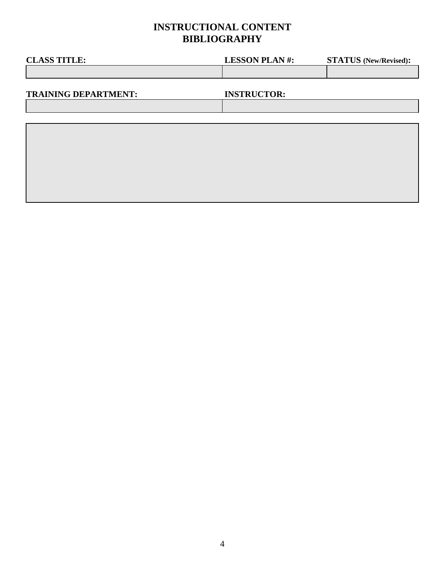# **INSTRUCTIONAL CONTENT BIBLIOGRAPHY**

| <b>CLASS TITLE:</b>         | <b>LESSON PLAN#:</b> | <b>STATUS</b> (New/Revised): |
|-----------------------------|----------------------|------------------------------|
|                             |                      |                              |
|                             |                      |                              |
| <b>TRAINING DEPARTMENT:</b> | <b>INSTRUCTOR:</b>   |                              |
|                             |                      |                              |
|                             |                      |                              |
|                             |                      |                              |
|                             |                      |                              |
|                             |                      |                              |
|                             |                      |                              |
|                             |                      |                              |
|                             |                      |                              |
|                             |                      |                              |
|                             |                      |                              |